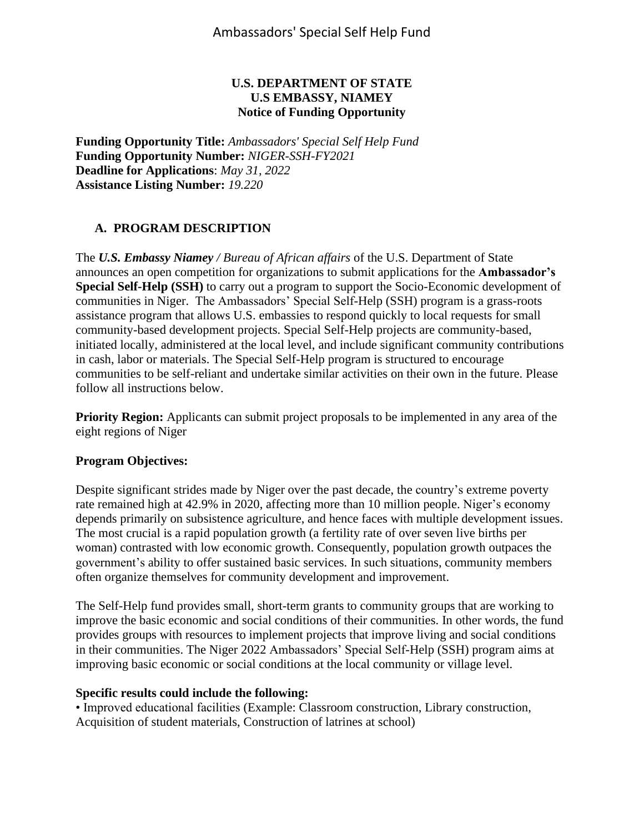### **U.S. DEPARTMENT OF STATE U.S EMBASSY, NIAMEY Notice of Funding Opportunity**

**Funding Opportunity Title:** *Ambassadors' Special Self Help Fund* **Funding Opportunity Number:** *NIGER-SSH-FY2021* **Deadline for Applications**: *May 31, 2022* **Assistance Listing Number:** *19.220*

## **A. PROGRAM DESCRIPTION**

The *U.S. Embassy Niamey / Bureau of African affairs* of the U.S. Department of State announces an open competition for organizations to submit applications for the **Ambassador's Special Self-Help (SSH)** to carry out a program to support the Socio-Economic development of communities in Niger. The Ambassadors' Special Self-Help (SSH) program is a grass-roots assistance program that allows U.S. embassies to respond quickly to local requests for small community-based development projects. Special Self-Help projects are community-based, initiated locally, administered at the local level, and include significant community contributions in cash, labor or materials. The Special Self-Help program is structured to encourage communities to be self-reliant and undertake similar activities on their own in the future. Please follow all instructions below.

**Priority Region:** Applicants can submit project proposals to be implemented in any area of the eight regions of Niger

### **Program Objectives:**

Despite significant strides made by Niger over the past decade, the country's extreme poverty rate remained high at 42.9% in 2020, affecting more than 10 million people. Niger's economy depends primarily on subsistence agriculture, and hence faces with multiple development issues. The most crucial is a rapid population growth (a fertility rate of over seven live births per woman) contrasted with low economic growth. Consequently, population growth outpaces the government's ability to offer sustained basic services. In such situations, community members often organize themselves for community development and improvement.

The Self-Help fund provides small, short-term grants to community groups that are working to improve the basic economic and social conditions of their communities. In other words, the fund provides groups with resources to implement projects that improve living and social conditions in their communities. The Niger 2022 Ambassadors' Special Self-Help (SSH) program aims at improving basic economic or social conditions at the local community or village level.

### **Specific results could include the following:**

• Improved educational facilities (Example: Classroom construction, Library construction, Acquisition of student materials, Construction of latrines at school)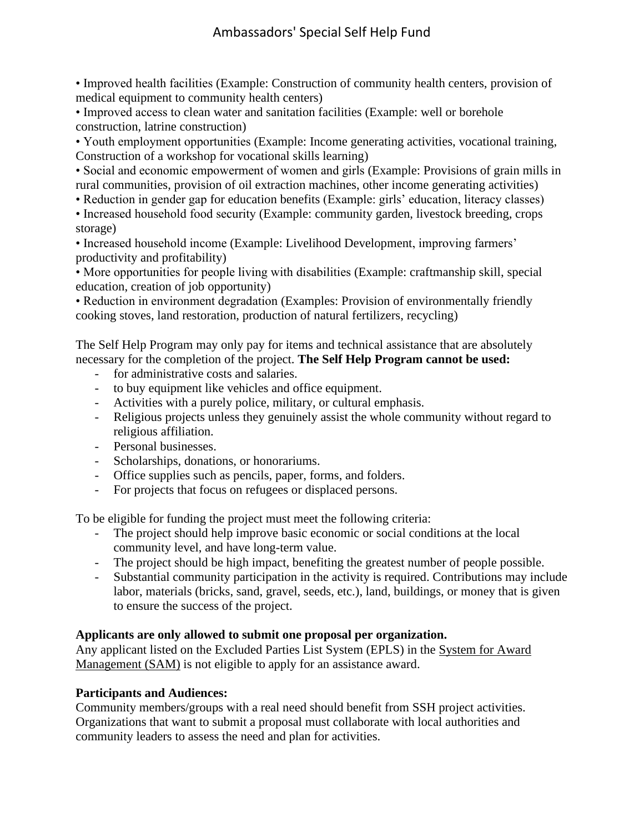# Ambassadors' Special Self Help Fund

• Improved health facilities (Example: Construction of community health centers, provision of medical equipment to community health centers)

• Improved access to clean water and sanitation facilities (Example: well or borehole construction, latrine construction)

• Youth employment opportunities (Example: Income generating activities, vocational training, Construction of a workshop for vocational skills learning)

• Social and economic empowerment of women and girls (Example: Provisions of grain mills in rural communities, provision of oil extraction machines, other income generating activities)

• Reduction in gender gap for education benefits (Example: girls' education, literacy classes)

• Increased household food security (Example: community garden, livestock breeding, crops storage)

• Increased household income (Example: Livelihood Development, improving farmers' productivity and profitability)

• More opportunities for people living with disabilities (Example: craftmanship skill, special education, creation of job opportunity)

• Reduction in environment degradation (Examples: Provision of environmentally friendly cooking stoves, land restoration, production of natural fertilizers, recycling)

The Self Help Program may only pay for items and technical assistance that are absolutely necessary for the completion of the project. **The Self Help Program cannot be used:**

- for administrative costs and salaries.
- to buy equipment like vehicles and office equipment.
- Activities with a purely police, military, or cultural emphasis.
- Religious projects unless they genuinely assist the whole community without regard to religious affiliation.
- Personal businesses.
- Scholarships, donations, or honorariums.
- Office supplies such as pencils, paper, forms, and folders.
- For projects that focus on refugees or displaced persons.

To be eligible for funding the project must meet the following criteria:

- The project should help improve basic economic or social conditions at the local community level, and have long-term value.
- The project should be high impact, benefiting the greatest number of people possible.
- Substantial community participation in the activity is required. Contributions may include labor, materials (bricks, sand, gravel, seeds, etc.), land, buildings, or money that is given to ensure the success of the project.

### **Applicants are only allowed to submit one proposal per organization.**

Any applicant listed on the Excluded Parties List System (EPLS) in the [System for Award](https://sam.gov/)  [Management \(SAM\)](https://sam.gov/) is not eligible to apply for an assistance award.

### **Participants and Audiences:**

Community members/groups with a real need should benefit from SSH project activities. Organizations that want to submit a proposal must collaborate with local authorities and community leaders to assess the need and plan for activities.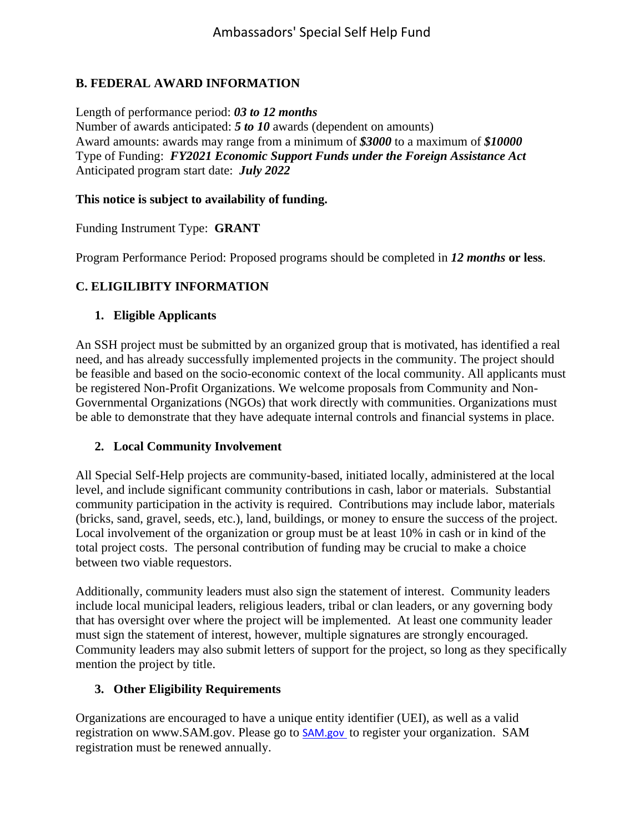## **B. FEDERAL AWARD INFORMATION**

Length of performance period: *03 to 12 months* Number of awards anticipated: *5 to 10* awards (dependent on amounts) Award amounts: awards may range from a minimum of *\$3000* to a maximum of *\$10000* Type of Funding: *FY2021 Economic Support Funds under the Foreign Assistance Act* Anticipated program start date: *July 2022*

### **This notice is subject to availability of funding.**

Funding Instrument Type: **GRANT**

Program Performance Period: Proposed programs should be completed in *12 months* **or less**.

## **C. ELIGILIBITY INFORMATION**

### **1. Eligible Applicants**

An SSH project must be submitted by an organized group that is motivated, has identified a real need, and has already successfully implemented projects in the community. The project should be feasible and based on the socio-economic context of the local community. All applicants must be registered Non-Profit Organizations. We welcome proposals from Community and Non-Governmental Organizations (NGOs) that work directly with communities. Organizations must be able to demonstrate that they have adequate internal controls and financial systems in place.

### **2. Local Community Involvement**

All Special Self-Help projects are community-based, initiated locally, administered at the local level, and include significant community contributions in cash, labor or materials. Substantial community participation in the activity is required. Contributions may include labor, materials (bricks, sand, gravel, seeds, etc.), land, buildings, or money to ensure the success of the project. Local involvement of the organization or group must be at least 10% in cash or in kind of the total project costs. The personal contribution of funding may be crucial to make a choice between two viable requestors.

Additionally, community leaders must also sign the statement of interest. Community leaders include local municipal leaders, religious leaders, tribal or clan leaders, or any governing body that has oversight over where the project will be implemented. At least one community leader must sign the statement of interest, however, multiple signatures are strongly encouraged. Community leaders may also submit letters of support for the project, so long as they specifically mention the project by title.

## **3. Other Eligibility Requirements**

Organizations are encouraged to have a unique entity identifier (UEI), as well as a valid registration on www.SAM.gov. Please go to [SAM.gov](https://sam.gov/content/entity-registration) to register your organization. SAM registration must be renewed annually.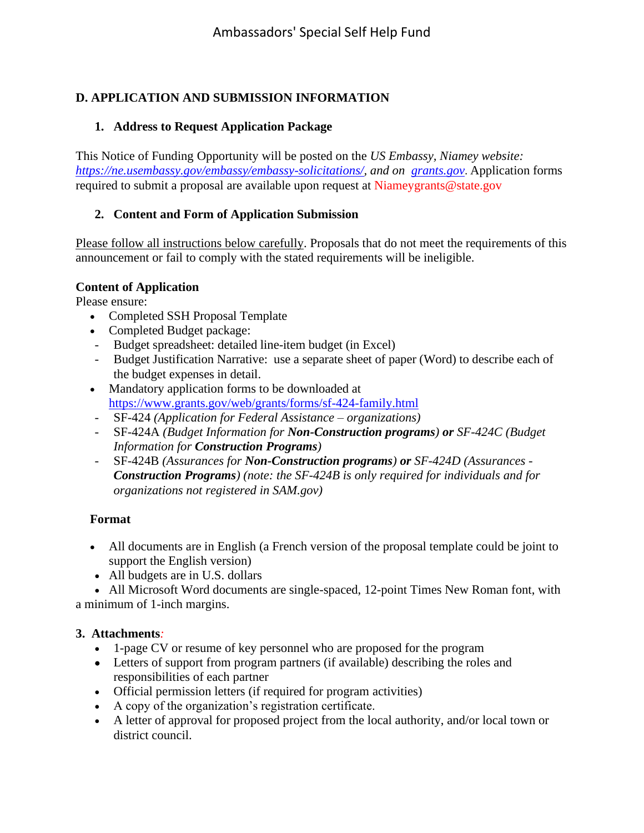# **D. APPLICATION AND SUBMISSION INFORMATION**

### **1. Address to Request Application Package**

This Notice of Funding Opportunity will be posted on the *US Embassy, Niamey website: [https://ne.usembassy.gov/embassy/embassy-solicitations/,](https://ne.usembassy.gov/embassy/embassy-solicitations/) and on <grants.gov>*. Application forms required to submit a proposal are available upon request at Niameygrants@state.gov

## **2. Content and Form of Application Submission**

Please follow all instructions below carefully. Proposals that do not meet the requirements of this announcement or fail to comply with the stated requirements will be ineligible.

### **Content of Application**

Please ensure:

- Completed SSH Proposal Template
- Completed Budget package:
- Budget spreadsheet: detailed line-item budget (in Excel)
- Budget Justification Narrative: use a separate sheet of paper (Word) to describe each of the budget expenses in detail.
- Mandatory application forms to be downloaded at <https://www.grants.gov/web/grants/forms/sf-424-family.html>
- SF-424 *(Application for Federal Assistance – organizations)*
- SF-424A *(Budget Information for Non-Construction programs) or SF-424C (Budget Information for Construction Programs)*
- SF-424B *(Assurances for Non-Construction programs) or SF-424D (Assurances - Construction Programs) (note: the SF-424B is only required for individuals and for organizations not registered in SAM.gov)*

### **Format**

- All documents are in English (a French version of the proposal template could be joint to support the English version)
- All budgets are in U.S. dollars

• All Microsoft Word documents are single-spaced, 12-point Times New Roman font, with a minimum of 1-inch margins.

### **3. Attachments***:*

- 1-page CV or resume of key personnel who are proposed for the program
- Letters of support from program partners (if available) describing the roles and responsibilities of each partner
- Official permission letters (if required for program activities)
- A copy of the organization's registration certificate.
- A letter of approval for proposed project from the local authority, and/or local town or district council.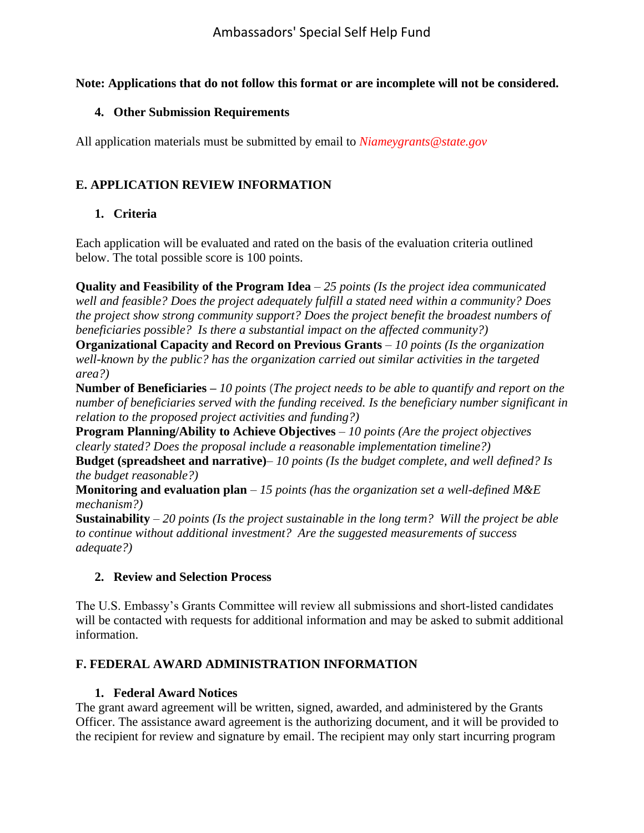### **Note: Applications that do not follow this format or are incomplete will not be considered.**

### **4. Other Submission Requirements**

All application materials must be submitted by email to *Niameygrants@state.gov*

# **E. APPLICATION REVIEW INFORMATION**

## **1. Criteria**

Each application will be evaluated and rated on the basis of the evaluation criteria outlined below. The total possible score is 100 points.

**Quality and Feasibility of the Program Idea** – *25 points (Is the project idea communicated well and feasible? Does the project adequately fulfill a stated need within a community? Does the project show strong community support? Does the project benefit the broadest numbers of beneficiaries possible? Is there a substantial impact on the affected community?)*

**Organizational Capacity and Record on Previous Grants** – *10 points (Is the organization well-known by the public? has the organization carried out similar activities in the targeted area?)*

**Number of Beneficiaries –** *10 points* (*The project needs to be able to quantify and report on the number of beneficiaries served with the funding received. Is the beneficiary number significant in relation to the proposed project activities and funding?)*

**Program Planning/Ability to Achieve Objectives** – *10 points (Are the project objectives clearly stated? Does the proposal include a reasonable implementation timeline?)*

**Budget (spreadsheet and narrative)**– *10 points (Is the budget complete, and well defined? Is the budget reasonable?)*

**Monitoring and evaluation plan** – *15 points (has the organization set a well-defined M&E mechanism?)*

**Sustainability** – *20 points (Is the project sustainable in the long term? Will the project be able to continue without additional investment? Are the suggested measurements of success adequate?)*

## **2. Review and Selection Process**

The U.S. Embassy's Grants Committee will review all submissions and short-listed candidates will be contacted with requests for additional information and may be asked to submit additional information.

## **F. FEDERAL AWARD ADMINISTRATION INFORMATION**

## **1. Federal Award Notices**

The grant award agreement will be written, signed, awarded, and administered by the Grants Officer. The assistance award agreement is the authorizing document, and it will be provided to the recipient for review and signature by email. The recipient may only start incurring program